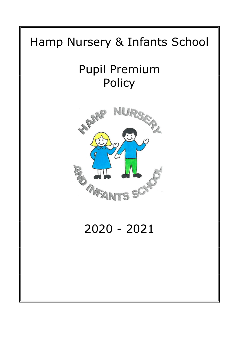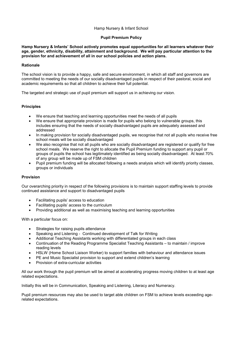## Hamp Nursery & Infant School

## Pupil Premium Policy

Hamp Nursery & Infants' School actively promotes equal opportunities for all learners whatever their age, gender, ethnicity, disability, attainment and background. We will pay particular attention to the provision for and achievement of all in our school policies and action plans.

### **Rationale**

The school vision is to provide a happy, safe and secure environment, in which all staff and governors are committed to meeting the needs of our socially disadvantaged pupils in respect of their pastoral, social and academic requirements so that all children to achieve their full potential.

The targeted and strategic use of pupil premium will support us in achieving our vision.

## **Principles**

- We ensure that teaching and learning opportunities meet the needs of all pupils
- We ensure that appropriate provision is made for pupils who belong to vulnerable groups, this includes ensuring that the needs of socially disadvantaged pupils are adequately assessed and addressed
- In making provision for socially disadvantaged pupils, we recognise that not all pupils who receive free school meals will be socially disadvantaged
- We also recognise that not all pupils who are socially disadvantaged are registered or qualify for free school meals. We reserve the right to allocate the Pupil Premium funding to support any pupil or groups of pupils the school has legitimately identified as being socially disadvantaged. At least 70% of any group will be made up of FSM children
- Pupil premium funding will be allocated following a needs analysis which will identify priority classes, groups or individuals

#### Provision

Our overarching priority in respect of the following provisions is to maintain support staffing levels to provide continued assistance and support to disadvantaged pupils

- Facilitating pupils' access to education
- Facilitating pupils' access to the curriculum
- Providing additional as well as maximising teaching and learning opportunities

With a particular focus on:

- Strategies for raising pupils attendance
- Speaking and Listening Continued development of Talk for Writing
- Additional Teaching Assistants working with differentiated groups in each class
- Continuation of the Reading Programme Specialist Teaching Assistants to maintain / improve reading levels
- HSLW (Home School Liaison Worker) to support families with behaviour and attendance issues
- PE and Music Specialist provision to support and extend children's learning
- Provision of extra-curricular activities

All our work through the pupil premium will be aimed at accelerating progress moving children to at least age related expectations.

Initially this will be in Communication, Speaking and Listening, Literacy and Numeracy.

Pupil premium resources may also be used to target able children on FSM to achieve levels exceeding agerelated expectations.